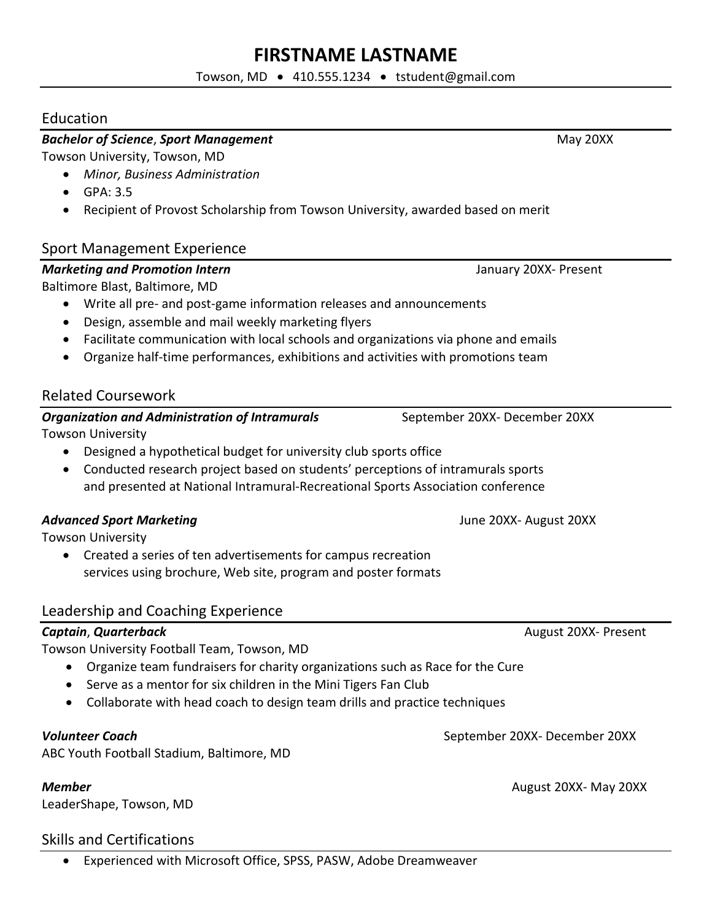# **FIRSTNAME LASTNAME**

Towson, MD • 410.555.1234 • tstudent@gmail.com

## Education

### **Bachelor of Science, Sport Management** May 20XX

Towson University, Towson, MD

- *Minor, Business Administration*
- GPA: 3.5
- Recipient of Provost Scholarship from Towson University, awarded based on merit

# Sport Management Experience

# *Marketing and Promotion Intern* **January 20XX-Present**

Baltimore Blast, Baltimore, MD

- Write all pre- and post-game information releases and announcements
- Design, assemble and mail weekly marketing flyers
- Facilitate communication with local schools and organizations via phone and emails
- Organize half-time performances, exhibitions and activities with promotions team

# Related Coursework

### *Organization and Administration of Intramurals* **September 20XX- December 20XX** Towson University

- Designed a hypothetical budget for university club sports office
- Conducted research project based on students' perceptions of intramurals sports and presented at National Intramural-Recreational Sports Association conference

# **Advanced Sport Marketing The Construction Construction Construction Construction Advanced Sport Marketing The S**

Towson University

• Created a series of ten advertisements for campus recreation services using brochure, Web site, program and poster formats

### Leadership and Coaching Experience

Towson University Football Team, Towson, MD

- Organize team fundraisers for charity organizations such as Race for the Cure
- Serve as a mentor for six children in the Mini Tigers Fan Club
- Collaborate with head coach to design team drills and practice techniques

ABC Youth Football Stadium, Baltimore, MD

LeaderShape, Towson, MD

## Skills and Certifications

• Experienced with Microsoft Office, SPSS, PASW, Adobe Dreamweaver

**Captain, Quarterback Captain**, **Quarterback August 20XX-** Present

*Volunteer Coach* September 20XX- December 20XX

*Member* August 20XX- May 20XX